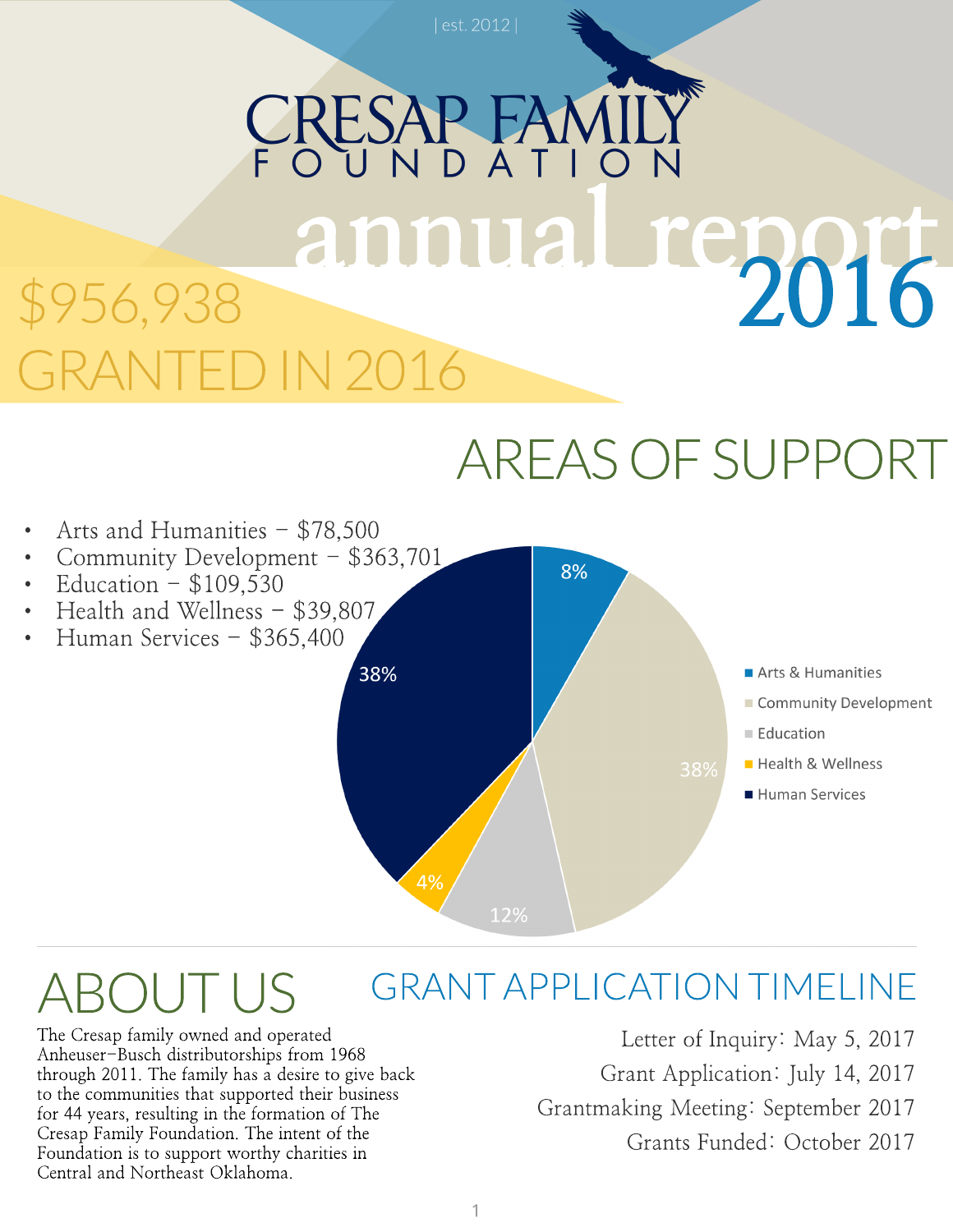## RESAP FAM annual report 2016 \$956,938 IN 2016

### AREASOFSUPPORT

- Arts and Humanities  $-$  \$78,500
- Community Development \$363,701
- Education  $-$  \$109,530
- Health and Wellness \$39,807
- Human Services \$365,400



8%

#### GRANTAPPLICATION TIMELINE ROUTUS

The Cresap family owned and operated Anheuser-Busch distributorships from 1968 through 2011. The family has a desire to give back to the communities that supported their business for 44 years, resulting in the formation of The Cresap Family Foundation. The intent of the Foundation is to support worthy charities in Central and Northeast Oklahoma.

Letter of Inquiry: May 5, 2017 Grant Application: July 14, 2017 Grantmaking Meeting: September 2017 Grants Funded: October 2017